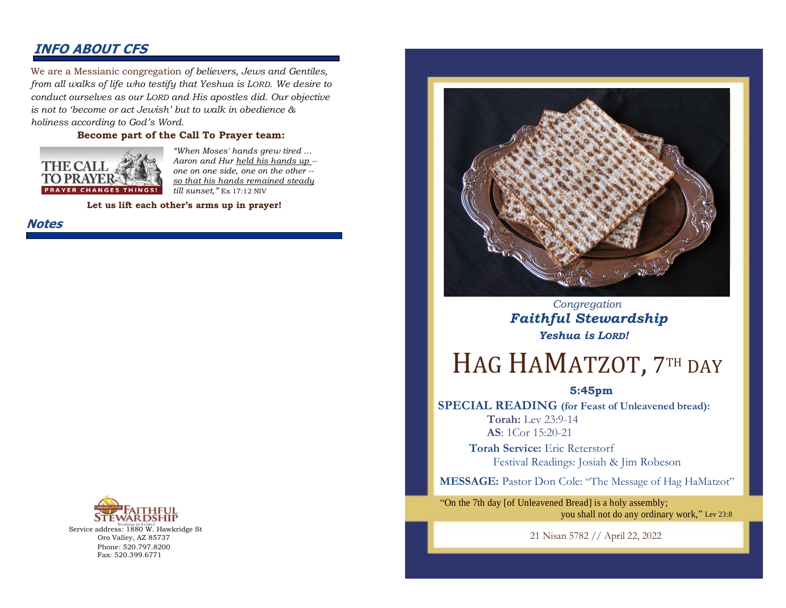### **INFO ABOUT CFS**

We are a Messianic congregation *of believers, Jews and Gentiles, from all walks of life who testify that Yeshua is LORD. We desire to conduct ourselves as our LORD and His apostles did. Our objective is not to 'become or act Jewish' but to walk in obedience & holiness according to God's Word.* 

#### **Become part of the Call To Prayer team:**



*"When Moses' hands grew tired … Aaron and Hur held his hands up - one on one side, one on the other - so that his hands remained steady till sunset,"* Ex 17:12 NIV

**Let us lift each other's arms up in prayer!**

**Notes**



Service address: 1880 W. Hawkridge St Oro Valley, AZ 85737 Phone: 520.797.8200 Fax: 520.399.6771



 *Congregation Faithful Stewardship Yeshua is LORD!*

# HAG HAMATZOT, 7TH DAY

#### **5:45pm**

**SPECIAL READING (for Feast of Unleavened bread): Torah:** Lev 23:9-14 **AS**: 1Cor 15:20-21

> **Torah Service:** Eric Reterstorf Festival Readings: Josiah & Jim Robeson

**MESSAGE:** Pastor Don Cole: "The Message of Hag HaMatzot"

"On the 7th day [of Unleavened Bread] is a holy assembly; you shall not do any ordinary work," Lev 23:8

21 Nisan 5782 // April 22, 2022